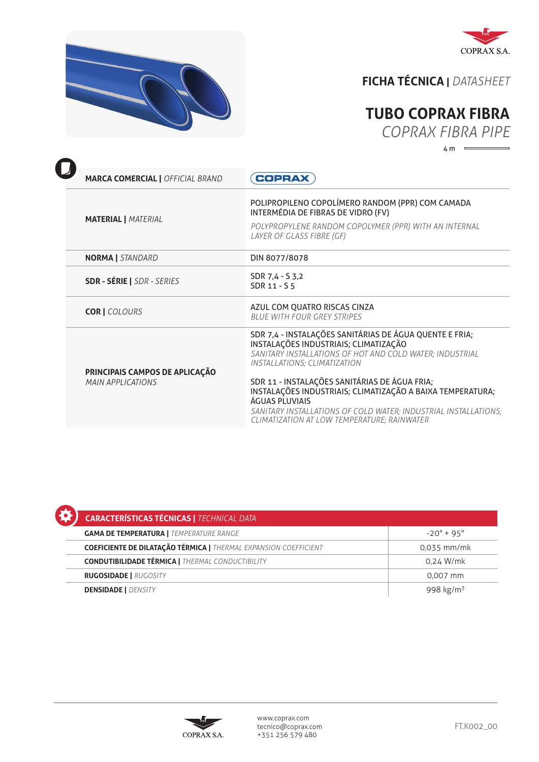



## **FICHA TÉCNICA |** *DATASHEET*

## **TUBO COPRAX FIBRA**

*COPRAX FIBRA PIPE*

 $4 m \quad \longleftarrow$ 

| <b>MARCA COMERCIAL   OFFICIAL BRAND</b>              | <b>COPRAX</b>                                                                                                                                                                                                                                                                                                                                                                                                                                          |  |
|------------------------------------------------------|--------------------------------------------------------------------------------------------------------------------------------------------------------------------------------------------------------------------------------------------------------------------------------------------------------------------------------------------------------------------------------------------------------------------------------------------------------|--|
| <b>MATERIAL   MATERIAL</b>                           | POLIPROPILENO COPOLÍMERO RANDOM (PPR) COM CAMADA<br>INTERMÉDIA DE FIBRAS DE VIDRO (FV)<br>POLYPROPYLENE RANDOM COPOLYMER (PPR) WITH AN INTERNAL<br>LAYER OF GLASS FIBRE (GF)                                                                                                                                                                                                                                                                           |  |
| <b>NORMA</b>   STANDARD                              | DIN 8077/8078                                                                                                                                                                                                                                                                                                                                                                                                                                          |  |
| <b>SDR - SÉRIE   SDR - SERIES</b>                    | SDR 7,4 - S 3,2<br>SDR 11 - S 5                                                                                                                                                                                                                                                                                                                                                                                                                        |  |
| <b>COR   COLOURS</b>                                 | AZUL COM QUATRO RISCAS CINZA<br><b>BLUE WITH FOUR GREY STRIPES</b>                                                                                                                                                                                                                                                                                                                                                                                     |  |
| PRINCIPAIS CAMPOS DE APLICAÇÃO<br>MAIN APPI ICATIONS | SDR 7,4 - INSTALAÇÕES SANITÁRIAS DE ÁGUA QUENTE E FRIA;<br>INSTALAÇÕES INDUSTRIAIS; CLIMATIZAÇÃO<br>SANITARY INSTALLATIONS OF HOT AND COLD WATER; INDUSTRIAL<br><b>INSTALLATIONS; CLIMATIZATION</b><br>SDR 11 - INSTALAÇÕES SANITÁRIAS DE ÁGUA FRIA;<br>INSTALAÇÕES INDUSTRIAIS; CLIMATIZAÇÃO A BAIXA TEMPERATURA;<br>ÁGUAS PLUVIAIS<br>SANITARY INSTALLATIONS OF COLD WATER; INDUSTRIAL INSTALLATIONS;<br>CLIMATIZATION AT LOW TEMPERATURE; RAINWATER |  |

| <b>CARACTERÍSTICAS TÉCNICAS   TECHNICAL DATA</b>                        |                       |  |  |
|-------------------------------------------------------------------------|-----------------------|--|--|
| <b>GAMA DE TEMPERATURA   TEMPERATURE RANGE</b>                          | $-20^{\circ}$ + 95°   |  |  |
| <b>COEFICIENTE DE DILATAÇÃO TÉRMICA   THERMAL EXPANSION COEFFICIENT</b> | 0,035 mm/mk           |  |  |
| <b>CONDUTIBILIDADE TÉRMICA   THERMAL CONDUCTIBILITY</b>                 | 0,24 W/mk             |  |  |
| <b>RUGOSIDADE   RUGOSITY</b>                                            | 0,007 mm              |  |  |
| <b>DENSIDADE   DENSITY</b>                                              | 998 kg/m <sup>3</sup> |  |  |

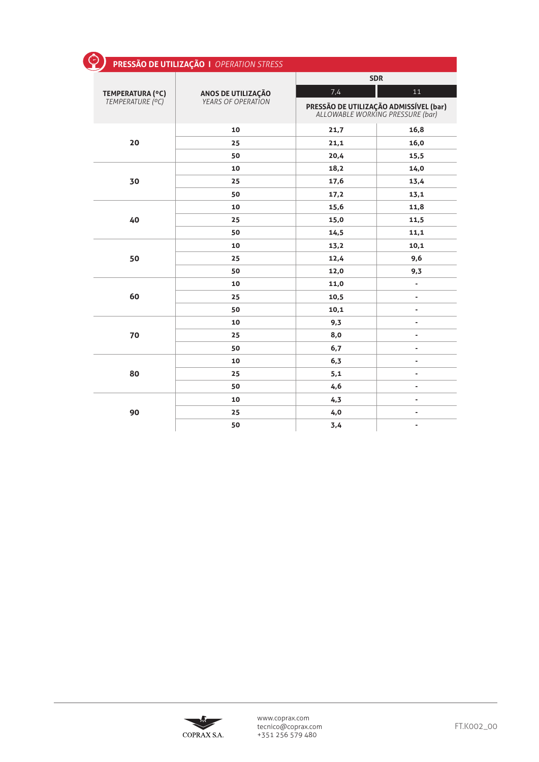| ☉<br>PRESSÃO DE UTILIZAÇÃO   OPERATION STRESS |                                                        |            |                                                                            |  |
|-----------------------------------------------|--------------------------------------------------------|------------|----------------------------------------------------------------------------|--|
|                                               | <b>ANOS DE UTILIZAÇÃO</b><br><i>YEARS OF OPERATION</i> | <b>SDR</b> |                                                                            |  |
| TEMPERATURA (°C)                              |                                                        | 7,4        | 11                                                                         |  |
| TEMPERATURE (°C)                              |                                                        |            | PRESSÃO DE UTILIZAÇÃO ADMISSÍVEL (bar)<br>ALLOWABLE WORKING PRESSURE (bar) |  |
|                                               | 10                                                     | 21,7       | 16,8                                                                       |  |
| 20                                            | 25                                                     | 21,1       | 16,0                                                                       |  |
|                                               | 50                                                     | 20,4       | 15,5                                                                       |  |
|                                               | 10                                                     | 18,2       | 14,0                                                                       |  |
| 30                                            | 25                                                     | 17,6       | 13,4                                                                       |  |
|                                               | 50                                                     | 17,2       | 13,1                                                                       |  |
|                                               | 10                                                     | 15,6       | 11,8                                                                       |  |
| 40                                            | 25                                                     | 15,0       | 11,5                                                                       |  |
|                                               | 50                                                     | 14,5       | 11,1                                                                       |  |
|                                               | 10                                                     | 13,2       | 10,1                                                                       |  |
| 50                                            | 25                                                     | 12,4       | 9,6                                                                        |  |
|                                               | 50                                                     | 12,0       | 9,3                                                                        |  |
|                                               | 10                                                     | 11,0       | $\overline{\phantom{a}}$                                                   |  |
| 60                                            | 25                                                     | 10,5       | $\qquad \qquad \blacksquare$                                               |  |
|                                               | 50                                                     | 10,1       | $\qquad \qquad \blacksquare$                                               |  |
|                                               | 10                                                     | 9,3        | $\overline{a}$                                                             |  |
| 70                                            | 25                                                     | 8,0        | $\qquad \qquad \blacksquare$                                               |  |
|                                               | 50                                                     | 6,7        | $\qquad \qquad \blacksquare$                                               |  |
|                                               | 10                                                     | 6,3        | $\qquad \qquad \blacksquare$                                               |  |
| 80                                            | 25                                                     | 5,1        | $\qquad \qquad \blacksquare$                                               |  |
|                                               | 50                                                     | 4,6        | $\overline{a}$                                                             |  |
|                                               | 10                                                     | 4,3        | $\qquad \qquad \blacksquare$                                               |  |
| 90                                            | 25                                                     | 4,0        | $\qquad \qquad \blacksquare$                                               |  |
|                                               | 50                                                     | 3,4        | $\qquad \qquad \blacksquare$                                               |  |